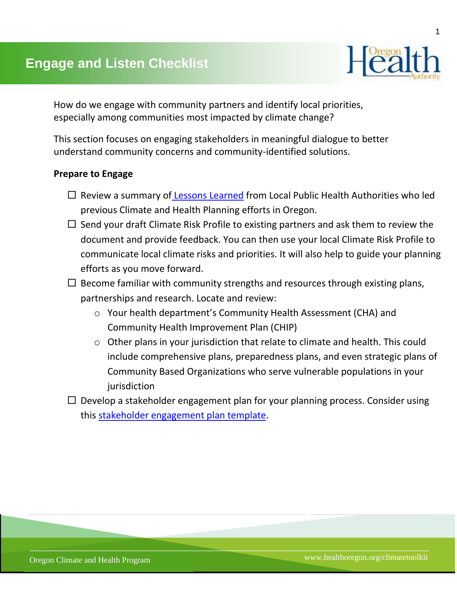

How do we engage with community partners and identify local priorities, especially among communities most impacted by climate change?

This section focuses on engaging stakeholders in meaningful dialogue to better understand community concerns and community-identified solutions.

## **Prepare to Engage**

- $\Box$  Review a summary of [Lessons Learned](http://public.health.oregon.gov/HealthyEnvironments/climatechange/Documents/Summary-of-Lessons-Learned.pdf) from Local Public Health Authorities who led previous Climate and Health Planning efforts in Oregon.
- $\Box$  Send your draft Climate Risk Profile to existing partners and ask them to review the document and provide feedback. You can then use your local Climate Risk Profile to communicate local climate risks and priorities. It will also help to guide your planning efforts as you move forward.
- $\Box$  Become familiar with community strengths and resources through existing plans, partnerships and research. Locate and review:
	- o Your health department's Community Health Assessment (CHA) and Community Health Improvement Plan (CHIP)
	- o Other plans in your jurisdiction that relate to climate and health. This could include comprehensive plans, preparedness plans, and even strategic plans of Community Based Organizations who serve vulnerable populations in your iurisdiction
- $\Box$  Develop a stakeholder engagement plan for your planning process. Consider using this [stakeholder engagement plan template.](https://www.oregon.gov/oha/PH/HEALTHYENVIRONMENTS/CLIMATECHANGE/TOOLKIT/Documents/3-Assessment-and-Engagement/Stakeholder-Engagement-Plan-Template.docx)